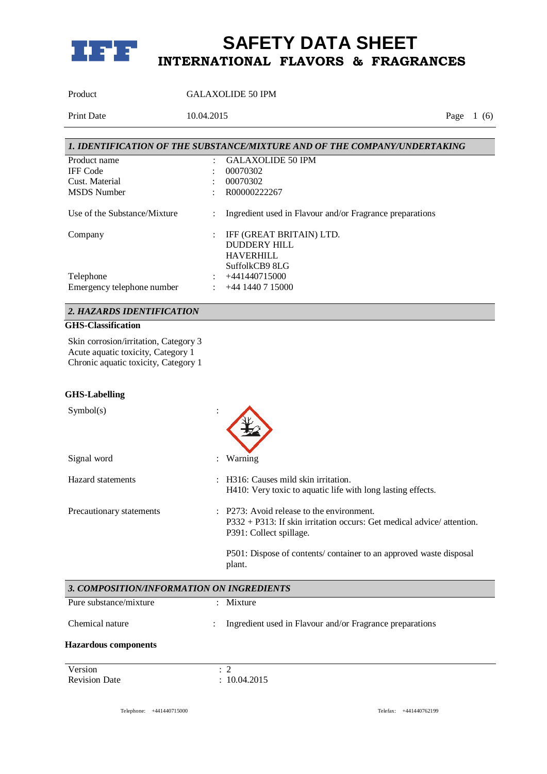

Product GALAXOLIDE 50 IPM

Print Date 10.04.2015 Page 1 (6)

|                              |                      | 1. IDENTIFICATION OF THE SUBSTANCE/MIXTURE AND OF THE COMPANY/UNDERTAKING |
|------------------------------|----------------------|---------------------------------------------------------------------------|
| Product name                 |                      | <b>GALAXOLIDE 50 IPM</b>                                                  |
| <b>IFF</b> Code              |                      | 00070302                                                                  |
| Cust. Material               |                      | 00070302                                                                  |
| <b>MSDS</b> Number           |                      | R00000222267                                                              |
| Use of the Substance/Mixture | ÷                    | Ingredient used in Flavour and/or Fragrance preparations                  |
| Company                      | $\ddot{\phantom{a}}$ | IFF (GREAT BRITAIN) LTD.                                                  |
|                              |                      | DUDDERY HILL                                                              |
|                              |                      | <b>HAVERHILL</b>                                                          |
|                              |                      | SuffolkCB9 8LG                                                            |
| Telephone                    | $\ddot{\phantom{0}}$ | +441440715000                                                             |
| Emergency telephone number   |                      | $+44$ 1440 7 15000                                                        |

## *2. HAZARDS IDENTIFICATION*

## **GHS-Classification**

Skin corrosion/irritation, Category 3 Acute aquatic toxicity, Category 1 Chronic aquatic toxicity, Category 1

#### **GHS-Labelling**

| Symbol(s)                                 |                                                                                                                                                             |                                                                                                                |
|-------------------------------------------|-------------------------------------------------------------------------------------------------------------------------------------------------------------|----------------------------------------------------------------------------------------------------------------|
| Signal word                               |                                                                                                                                                             | Warning                                                                                                        |
| Hazard statements                         |                                                                                                                                                             | H <sub>3</sub> 16: Causes mild skin irritation.<br>H410: Very toxic to aquatic life with long lasting effects. |
| Precautionary statements                  | $\therefore$ P273: Avoid release to the environment.<br>$P332 + P313$ : If skin irritation occurs: Get medical advice/attention.<br>P391: Collect spillage. |                                                                                                                |
|                                           |                                                                                                                                                             | P501: Dispose of contents/ container to an approved waste disposal<br>plant.                                   |
| 3. COMPOSITION/INFORMATION ON INGREDIENTS |                                                                                                                                                             |                                                                                                                |
| Pure substance/mixture                    |                                                                                                                                                             | Mixture                                                                                                        |
| Chemical nature                           |                                                                                                                                                             | Ingredient used in Flavour and/or Fragrance preparations                                                       |
| <b>Hazardous components</b>               |                                                                                                                                                             |                                                                                                                |
| Version<br><b>Revision Date</b>           |                                                                                                                                                             | $\therefore$ 2<br>: 10.04.2015                                                                                 |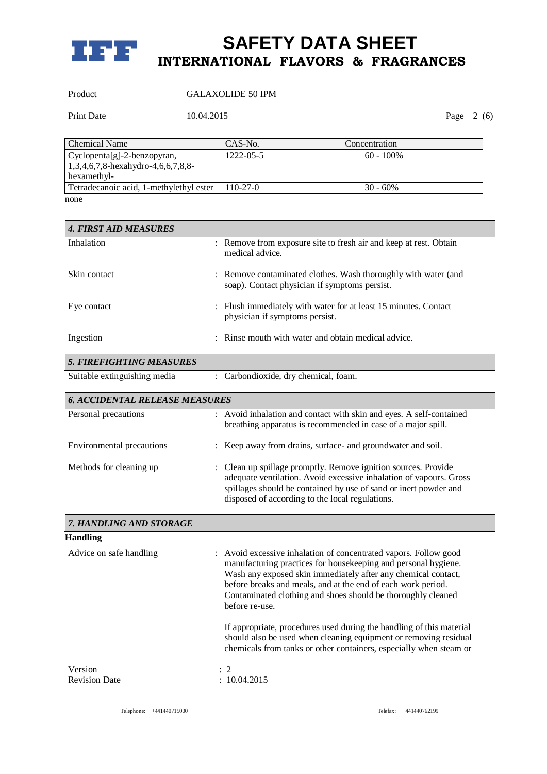

## Product GALAXOLIDE 50 IPM

Print Date 10.04.2015 Page 2 (6)

| <b>Chemical Name</b>                                                                  | CAS-No.    | Concentration |
|---------------------------------------------------------------------------------------|------------|---------------|
| $Cyclopenta[g]-2-benzopyran,$<br>$1,3,4,6,7,8$ -hexahydro-4,6,6,7,8,8-<br>hexamethyl- | 1222-05-5  | $60 - 100\%$  |
| Tetradecanoic acid, 1-methylethyl ester                                               | $110-27-0$ | $30 - 60\%$   |
| none                                                                                  |            |               |

*4. FIRST AID MEASURES* Inhalation : Remove from exposure site to fresh air and keep at rest. Obtain medical advice. Skin contact : Remove contaminated clothes. Wash thoroughly with water (and soap). Contact physician if symptoms persist. Eye contact : Flush immediately with water for at least 15 minutes. Contact physician if symptoms persist. Ingestion : Rinse mouth with water and obtain medical advice. *5. FIREFIGHTING MEASURES* Suitable extinguishing media : Carbondioxide, dry chemical, foam.

| <b>6. ACCIDENTAL RELEASE MEASURES</b> |                                                                                                                                                                                                                                                             |
|---------------------------------------|-------------------------------------------------------------------------------------------------------------------------------------------------------------------------------------------------------------------------------------------------------------|
| Personal precautions                  | : Avoid inhalation and contact with skin and eyes. A self-contained<br>breathing apparatus is recommended in case of a major spill.                                                                                                                         |
| Environmental precautions             | : Keep away from drains, surface- and groundwater and soil.                                                                                                                                                                                                 |
| Methods for cleaning up               | : Clean up spillage promptly. Remove ignition sources. Provide<br>adequate ventilation. Avoid excessive inhalation of vapours. Gross<br>spillages should be contained by use of sand or inert powder and<br>disposed of according to the local regulations. |

| 7. HANDLING AND STORAGE         |                                                                                                                                                                                                                                                                                                                                                       |
|---------------------------------|-------------------------------------------------------------------------------------------------------------------------------------------------------------------------------------------------------------------------------------------------------------------------------------------------------------------------------------------------------|
| <b>Handling</b>                 |                                                                                                                                                                                                                                                                                                                                                       |
| Advice on safe handling         | : Avoid excessive inhalation of concentrated vapors. Follow good<br>manufacturing practices for housekeeping and personal hygiene.<br>Wash any exposed skin immediately after any chemical contact,<br>before breaks and meals, and at the end of each work period.<br>Contaminated clothing and shoes should be thoroughly cleaned<br>before re-use. |
|                                 | If appropriate, procedures used during the handling of this material<br>should also be used when cleaning equipment or removing residual<br>chemicals from tanks or other containers, especially when steam or                                                                                                                                        |
| Version<br><b>Revision Date</b> | $\therefore$ 2<br>: 10.04.2015                                                                                                                                                                                                                                                                                                                        |

Telephone: +441440715000 Telefax: +441440762199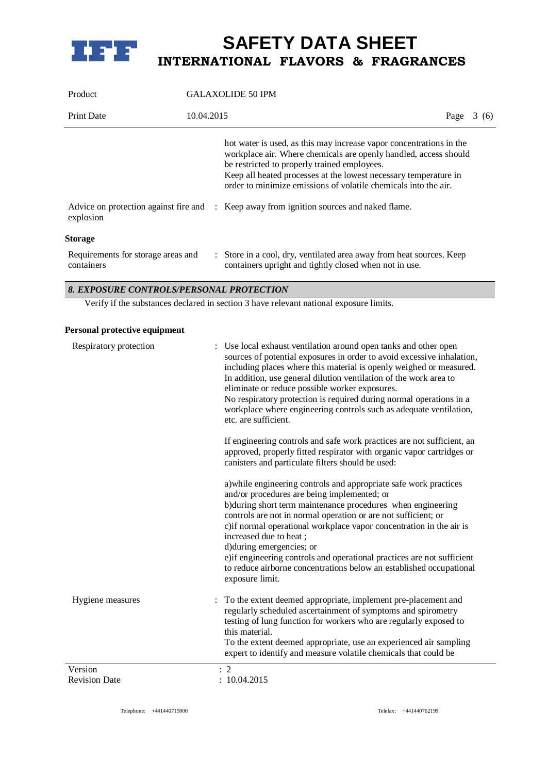

| Product                                          | <b>GALAXOLIDE 50 IPM</b> |                                                                                                                                                                                                                                                                                                                                                                                                                            |      |       |
|--------------------------------------------------|--------------------------|----------------------------------------------------------------------------------------------------------------------------------------------------------------------------------------------------------------------------------------------------------------------------------------------------------------------------------------------------------------------------------------------------------------------------|------|-------|
| <b>Print Date</b>                                | 10.04.2015               |                                                                                                                                                                                                                                                                                                                                                                                                                            | Page | 3 (6) |
| explosion                                        |                          | hot water is used, as this may increase vapor concentrations in the<br>workplace air. Where chemicals are openly handled, access should<br>be restricted to properly trained employees.<br>Keep all heated processes at the lowest necessary temperature in<br>order to minimize emissions of volatile chemicals into the air.<br>Advice on protection against fire and : Keep away from ignition sources and naked flame. |      |       |
| <b>Storage</b>                                   |                          |                                                                                                                                                                                                                                                                                                                                                                                                                            |      |       |
| Requirements for storage areas and<br>containers |                          | : Store in a cool, dry, ventilated area away from heat sources. Keep<br>containers upright and tightly closed when not in use.                                                                                                                                                                                                                                                                                             |      |       |

## *8. EXPOSURE CONTROLS/PERSONAL PROTECTION*

Verify if the substances declared in section 3 have relevant national exposure limits.

## **Personal protective equipment**

| Respiratory protection | Use local exhaust ventilation around open tanks and other open<br>sources of potential exposures in order to avoid excessive inhalation,<br>including places where this material is openly weighed or measured.<br>In addition, use general dilution ventilation of the work area to<br>eliminate or reduce possible worker exposures.<br>No respiratory protection is required during normal operations in a<br>workplace where engineering controls such as adequate ventilation,<br>etc. are sufficient.<br>If engineering controls and safe work practices are not sufficient, an<br>approved, properly fitted respirator with organic vapor cartridges or<br>canisters and particulate filters should be used:<br>a) while engineering controls and appropriate safe work practices<br>and/or procedures are being implemented; or<br>b) during short term maintenance procedures when engineering<br>controls are not in normal operation or are not sufficient; or<br>c) if normal operational workplace vapor concentration in the air is<br>increased due to heat;<br>d)during emergencies; or<br>e) if engineering controls and operational practices are not sufficient<br>to reduce airborne concentrations below an established occupational<br>exposure limit. |
|------------------------|------------------------------------------------------------------------------------------------------------------------------------------------------------------------------------------------------------------------------------------------------------------------------------------------------------------------------------------------------------------------------------------------------------------------------------------------------------------------------------------------------------------------------------------------------------------------------------------------------------------------------------------------------------------------------------------------------------------------------------------------------------------------------------------------------------------------------------------------------------------------------------------------------------------------------------------------------------------------------------------------------------------------------------------------------------------------------------------------------------------------------------------------------------------------------------------------------------------------------------------------------------------------------|
| Hygiene measures       | To the extent deemed appropriate, implement pre-placement and<br>regularly scheduled ascertainment of symptoms and spirometry<br>testing of lung function for workers who are regularly exposed to<br>this material.<br>To the extent deemed appropriate, use an experienced air sampling<br>expert to identify and measure volatile chemicals that could be                                                                                                                                                                                                                                                                                                                                                                                                                                                                                                                                                                                                                                                                                                                                                                                                                                                                                                                 |
| Version                | $\therefore$ 2                                                                                                                                                                                                                                                                                                                                                                                                                                                                                                                                                                                                                                                                                                                                                                                                                                                                                                                                                                                                                                                                                                                                                                                                                                                               |
| <b>Revision Date</b>   | : 10.04.2015                                                                                                                                                                                                                                                                                                                                                                                                                                                                                                                                                                                                                                                                                                                                                                                                                                                                                                                                                                                                                                                                                                                                                                                                                                                                 |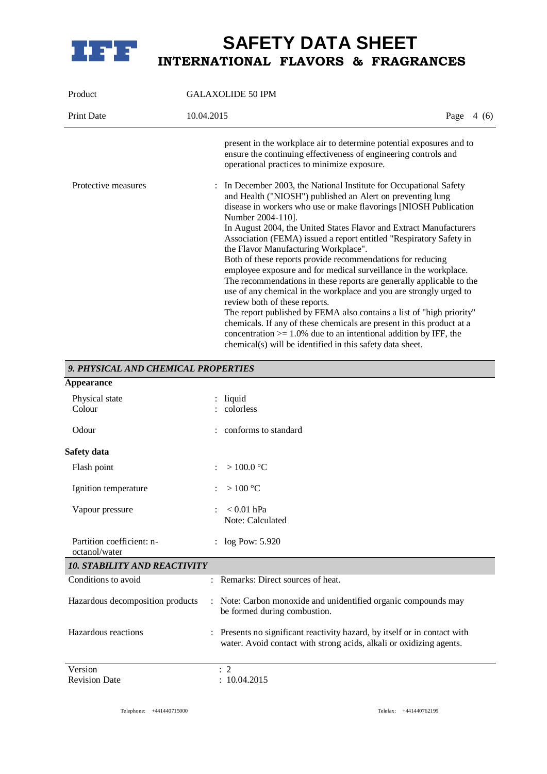

| Product             | <b>GALAXOLIDE 50 IPM</b>                                                                                                                                                                                                                                                                                                                                                                                    |             |  |
|---------------------|-------------------------------------------------------------------------------------------------------------------------------------------------------------------------------------------------------------------------------------------------------------------------------------------------------------------------------------------------------------------------------------------------------------|-------------|--|
| <b>Print Date</b>   | 10.04.2015                                                                                                                                                                                                                                                                                                                                                                                                  | Page $4(6)$ |  |
|                     | present in the workplace air to determine potential exposures and to<br>ensure the continuing effectiveness of engineering controls and<br>operational practices to minimize exposure.                                                                                                                                                                                                                      |             |  |
| Protective measures | In December 2003, the National Institute for Occupational Safety<br>and Health ("NIOSH") published an Alert on preventing lung<br>disease in workers who use or make flavorings [NIOSH Publication<br>Number 2004-110].<br>In August 2004, the United States Flavor and Extract Manufacturers<br>Association (FEMA) issued a report entitled "Respiratory Safety in<br>the Flavor Manufacturing Workplace". |             |  |
|                     | Both of these reports provide recommendations for reducing<br>employee exposure and for medical surveillance in the workplace.<br>The recommendations in these reports are generally applicable to the<br>use of any chemical in the workplace and you are strongly urged to                                                                                                                                |             |  |
|                     | review both of these reports.<br>The report published by FEMA also contains a list of "high priority"<br>chemicals. If any of these chemicals are present in this product at a<br>concentration $> = 1.0\%$ due to an intentional addition by IFF, the<br>chemical(s) will be identified in this safety data sheet.                                                                                         |             |  |

#### *9. PHYSICAL AND CHEMICAL PROPERTIES* **Appearance**

| Appeal alice                               |                                                                                                                                                                  |  |  |  |
|--------------------------------------------|------------------------------------------------------------------------------------------------------------------------------------------------------------------|--|--|--|
| Physical state<br>Colour                   | $:$ liquid<br>: colorless                                                                                                                                        |  |  |  |
| Odour                                      | conforms to standard                                                                                                                                             |  |  |  |
| Safety data                                |                                                                                                                                                                  |  |  |  |
| Flash point                                | $>100.0\ ^{\circ}\mathrm{C}$                                                                                                                                     |  |  |  |
| Ignition temperature                       | $>100\text{ °C}$                                                                                                                                                 |  |  |  |
| Vapour pressure                            | $< 0.01$ hPa<br>Note: Calculated                                                                                                                                 |  |  |  |
| Partition coefficient: n-<br>octanol/water | : $log Pow: 5.920$                                                                                                                                               |  |  |  |
| <b>10. STABILITY AND REACTIVITY</b>        |                                                                                                                                                                  |  |  |  |
| Conditions to avoid                        | Remarks: Direct sources of heat.                                                                                                                                 |  |  |  |
| Hazardous decomposition products           | : Note: Carbon monoxide and unidentified organic compounds may<br>be formed during combustion.                                                                   |  |  |  |
| Hazardous reactions                        | Presents no significant reactivity hazard, by itself or in contact with<br>$\ddot{\cdot}$<br>water. Avoid contact with strong acids, alkali or oxidizing agents. |  |  |  |
| Version                                    | $\therefore$ 2                                                                                                                                                   |  |  |  |
| <b>Revision Date</b>                       | : 10.04.2015                                                                                                                                                     |  |  |  |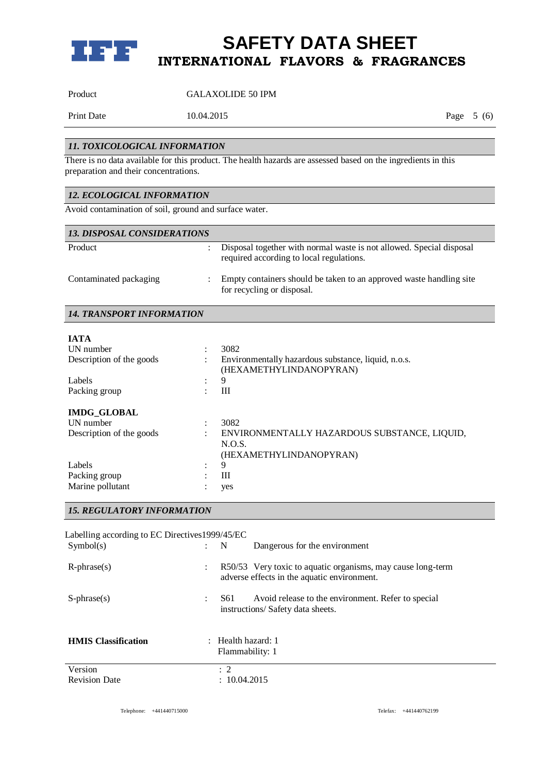

Product GALAXOLIDE 50 IPM

Print Date 10.04.2015 Page 5 (6)

## *11. TOXICOLOGICAL INFORMATION*

There is no data available for this product. The health hazards are assessed based on the ingredients in this preparation and their concentrations.

## *12. ECOLOGICAL INFORMATION*

Avoid contamination of soil, ground and surface water.

| <b>13. DISPOSAL CONSIDERATIONS</b> |                                                                                                                  |
|------------------------------------|------------------------------------------------------------------------------------------------------------------|
| Product                            | Disposal together with normal waste is not allowed. Special disposal<br>required according to local regulations. |
| Contaminated packaging             | Empty containers should be taken to an approved waste handling site<br>for recycling or disposal.                |

## *14. TRANSPORT INFORMATION*

| <b>IATA</b>              |           |                                                                                |
|--------------------------|-----------|--------------------------------------------------------------------------------|
| UN number                | ٠         | 3082                                                                           |
| Description of the goods | ÷         | Environmentally hazardous substance, liquid, n.o.s.<br>(HEXAMETHYLINDANOPYRAN) |
| Labels                   | $\bullet$ | 9                                                                              |
| Packing group            | $\bullet$ | Ш                                                                              |
| <b>IMDG GLOBAL</b>       |           |                                                                                |
| UN number                | $\bullet$ | 3082                                                                           |
| Description of the goods | $\bullet$ | ENVIRONMENTALLY HAZARDOUS SUBSTANCE, LIQUID,                                   |
|                          |           | N.O.S.<br>(HEXAMETHYLINDANOPYRAN)                                              |
| Labels                   | ٠         | 9                                                                              |
| Packing group            |           | Ш                                                                              |
| Marine pollutant         |           | yes                                                                            |

## *15. REGULATORY INFORMATION*

| Labelling according to EC Directives 1999/45/EC<br>Symbol(s) | $\mathcal{L}$        | N                                                | Dangerous for the environment                                                                              |
|--------------------------------------------------------------|----------------------|--------------------------------------------------|------------------------------------------------------------------------------------------------------------|
| $R$ -phrase $(s)$                                            | $\ddot{\phantom{a}}$ |                                                  | R50/53 Very toxic to aquatic organisms, may cause long-term<br>adverse effects in the aquatic environment. |
| $S$ -phrase $(s)$                                            | ÷                    | S61                                              | Avoid release to the environment. Refer to special<br>instructions/Safety data sheets.                     |
| <b>HMIS</b> Classification                                   |                      | $\therefore$ Health hazard: 1<br>Flammability: 1 |                                                                                                            |
| Version<br><b>Revision Date</b>                              |                      | $\therefore$ 2<br>: 10.04.2015                   |                                                                                                            |